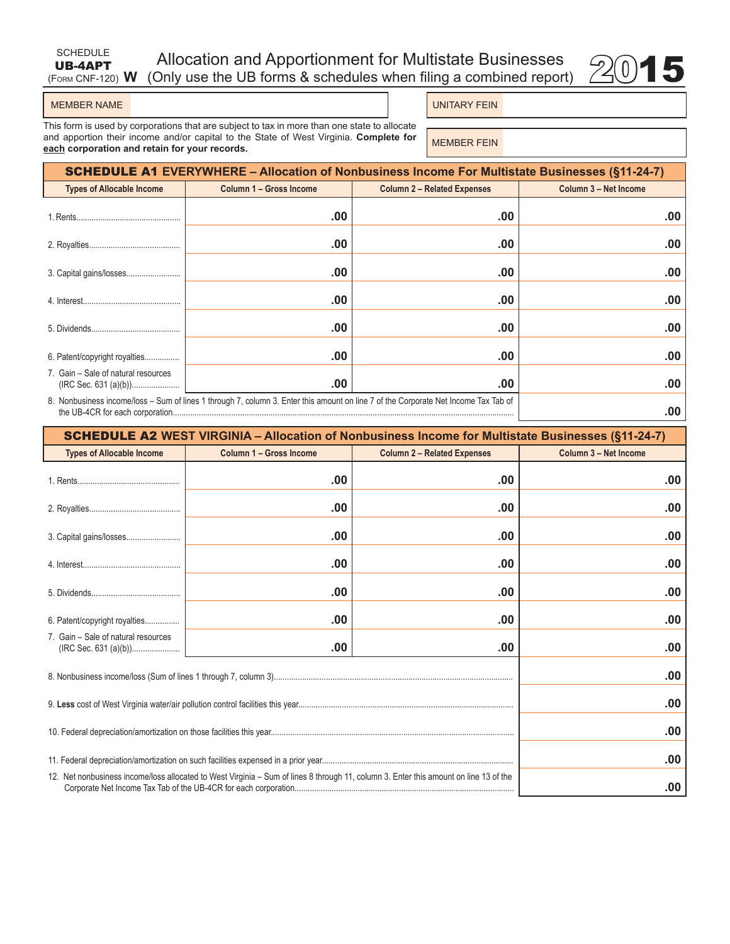# **UB-4APT**<br>
(Form CNF-120) **W** (Only use the UB forms & schedules when filing a combined report)  $2015$ Allocation and Apportionment for Multistate Businesses



SCHEDULE UB-4APT

UNITARY FEIN

This form is used by corporations that are subject to tax in more than one state to allocate and apportion their income and/or capital to the State of West Virginia. **Complete for**  and apportion their income and/or capital to the state of west virginia. Complete for **MEMBER FEIN**<br>**each** corporation and retain for your records.

| <b>SCHEDULE A1 EVERYWHERE – Allocation of Nonbusiness Income For Multistate Businesses (§11-24-7)</b>                               |                         |                                    |                       |  |  |
|-------------------------------------------------------------------------------------------------------------------------------------|-------------------------|------------------------------------|-----------------------|--|--|
| <b>Types of Allocable Income</b>                                                                                                    | Column 1 - Gross Income | <b>Column 2 - Related Expenses</b> | Column 3 - Net Income |  |  |
|                                                                                                                                     | .00                     | .00                                | .00                   |  |  |
|                                                                                                                                     | .00                     | .00                                | .00                   |  |  |
|                                                                                                                                     | .00                     | .00                                | .00                   |  |  |
|                                                                                                                                     | .00                     | .00                                | .00                   |  |  |
|                                                                                                                                     | .00                     | .00                                | .00                   |  |  |
| 6. Patent/copyright royalties                                                                                                       | .00                     | .00                                | .00                   |  |  |
| 7. Gain – Sale of natural resources                                                                                                 | .00                     | .00                                | .00                   |  |  |
| 8. Nonbusiness income/loss – Sum of lines 1 through 7, column 3. Enter this amount on line 7 of the Corporate Net Income Tax Tab of |                         |                                    | .00                   |  |  |

| <b>SCHEDULE A2 WEST VIRGINIA - Allocation of Nonbusiness Income for Multistate Businesses (§11-24-7)</b>                              |                         |                                    |                       |  |
|---------------------------------------------------------------------------------------------------------------------------------------|-------------------------|------------------------------------|-----------------------|--|
| <b>Types of Allocable Income</b>                                                                                                      | Column 1 - Gross Income | <b>Column 2 - Related Expenses</b> | Column 3 - Net Income |  |
|                                                                                                                                       | .00                     | .00                                | .00                   |  |
|                                                                                                                                       | .00                     | .00                                | .00                   |  |
|                                                                                                                                       | .00                     | .00                                | .00                   |  |
|                                                                                                                                       | .00                     | .00                                | .00                   |  |
|                                                                                                                                       | .00                     | .00                                | .00                   |  |
| 6. Patent/copyright royalties                                                                                                         | .00                     | .00                                | .00                   |  |
| 7. Gain - Sale of natural resources                                                                                                   | .00                     | .00                                | .00                   |  |
|                                                                                                                                       |                         |                                    | .00                   |  |
|                                                                                                                                       | .00                     |                                    |                       |  |
|                                                                                                                                       |                         |                                    | .00                   |  |
|                                                                                                                                       |                         |                                    | .00                   |  |
| 12. Net nonbusiness income/loss allocated to West Virginia – Sum of lines 8 through 11, column 3. Enter this amount on line 13 of the | .00                     |                                    |                       |  |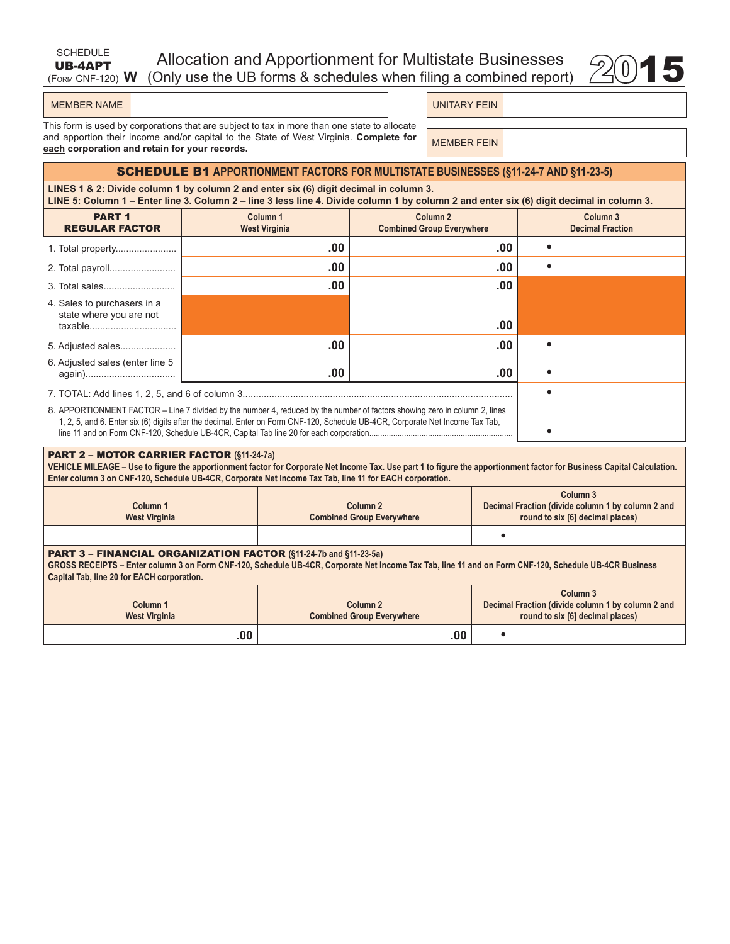| SCHEDULE | Allocation and Apportionment for Multistate Businesses                            |  |
|----------|-----------------------------------------------------------------------------------|--|
|          | UB-4APT Allocation and Apportionment for Multistate Businesses $\mathcal{Q}_0$ 15 |  |



UNITARY FEIN

This form is used by corporations that are subject to tax in more than one state to allocate and apportion their income and/or capital to the State of West Virginia. **Complete for**  and apportion their income and/or capital to the state of west virginia. Complete for **MEMBER FEIN** 

### SCHEDULE B1 **APPORTIONMENT FACTORS FOR MULTISTATE BUSINESSES (§11-24-7 AND §11-23-5)**

**LINES 1 & 2: Divide column 1 by column 2 and enter six (6) digit decimal in column 3. LINE 5: Column 1 – Enter line 3. Column 2 – line 3 less line 4. Divide column 1 by column 2 and enter six (6) digit decimal in column 3.**

| <b>PART 1</b><br><b>REGULAR FACTOR</b> | Column <sub>1</sub><br><b>West Virginia</b>                                                                                                                                                                                                                 | Column <sub>2</sub><br><b>Combined Group Everywhere</b> |  | Column <sub>3</sub><br><b>Decimal Fraction</b> |
|----------------------------------------|-------------------------------------------------------------------------------------------------------------------------------------------------------------------------------------------------------------------------------------------------------------|---------------------------------------------------------|--|------------------------------------------------|
| 1. Total property                      | .00                                                                                                                                                                                                                                                         | .00                                                     |  |                                                |
| 2. Total payroll                       | .00                                                                                                                                                                                                                                                         | .00                                                     |  |                                                |
|                                        | .00                                                                                                                                                                                                                                                         | .00                                                     |  |                                                |
| 4. Sales to purchasers in a            |                                                                                                                                                                                                                                                             |                                                         |  |                                                |
| state where you are not<br>taxable     |                                                                                                                                                                                                                                                             | .00                                                     |  |                                                |
| 5. Adjusted sales                      | .00                                                                                                                                                                                                                                                         | .00                                                     |  |                                                |
| 6. Adjusted sales (enter line 5        | .00                                                                                                                                                                                                                                                         | .00                                                     |  |                                                |
|                                        |                                                                                                                                                                                                                                                             |                                                         |  |                                                |
|                                        | 8. APPORTIONMENT FACTOR - Line 7 divided by the number 4, reduced by the number of factors showing zero in column 2, lines<br>1, 2, 5, and 6. Enter six (6) digits after the decimal. Enter on Form CNF-120, Schedule UB-4CR, Corporate Net Income Tax Tab, |                                                         |  |                                                |

#### PART 2 – MOTOR CARRIER FACTOR **(§11-24-7a)**

**VEHICLE MILEAGE – Use to figure the apportionment factor for Corporate Net Income Tax. Use part 1 to figure the apportionment factor for Business Capital Calculation. Enter column 3 on CNF-120, Schedule UB-4CR, Corporate Net Income Tax Tab, line 11 for EACH corporation.**

| Column <sub>1</sub><br><b>West Virginia</b>                                                                                                                                                                                                                                    | Column <sub>2</sub><br><b>Combined Group Everywhere</b> | Column <sub>3</sub><br>Decimal Fraction (divide column 1 by column 2 and<br>round to six [6] decimal places) |  |  |  |
|--------------------------------------------------------------------------------------------------------------------------------------------------------------------------------------------------------------------------------------------------------------------------------|---------------------------------------------------------|--------------------------------------------------------------------------------------------------------------|--|--|--|
|                                                                                                                                                                                                                                                                                |                                                         |                                                                                                              |  |  |  |
| <b>PART 3 - FINANCIAL ORGANIZATION FACTOR (§11-24-7b and §11-23-5a)</b><br>GROSS RECEIPTS - Enter column 3 on Form CNF-120, Schedule UB-4CR, Corporate Net Income Tax Tab, line 11 and on Form CNF-120, Schedule UB-4CR Business<br>Capital Tab, line 20 for EACH corporation. |                                                         |                                                                                                              |  |  |  |
| Column <sub>1</sub><br><b>West Virginia</b>                                                                                                                                                                                                                                    | Column <sub>2</sub><br><b>Combined Group Everywhere</b> | Column <sub>3</sub><br>Decimal Fraction (divide column 1 by column 2 and<br>round to six [6] decimal places) |  |  |  |
| .00                                                                                                                                                                                                                                                                            | .00                                                     |                                                                                                              |  |  |  |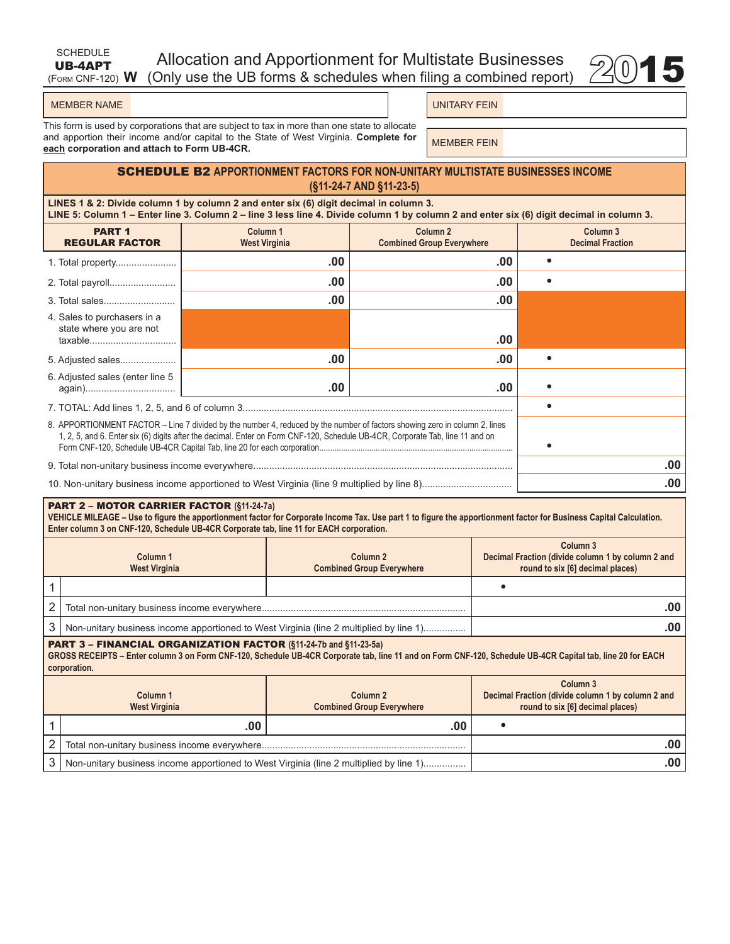| SCHEDULE | <b>Allocation and Apportionment for Multistate Businesses</b>                       |  |
|----------|-------------------------------------------------------------------------------------|--|
|          | <b>UB-4APT</b> Allocation and Apportionment for Multistate Businesses $\otimes$ 015 |  |



(Form CNF-120) **W**

UNITARY FEIN

This form is used by corporations that are subject to tax in more than one state to allocate and apportion their income and/or capital to the State of West Virginia. **Complete for**  and apportion their income and/or capital to the state of west virginia. Complete for **MEMBER FEIN**<br>each corporation and attach to Form UB-4CR.

# SCHEDULE B2 **APPORTIONMENT FACTORS FOR NON-UNITARY MULTISTATE BUSINESSES INCOME (§11-24-7 AND §11-23-5)**

**LINES 1 & 2: Divide column 1 by column 2 and enter six (6) digit decimal in column 3. LINE 5: Column 1 – Enter line 3. Column 2 – line 3 less line 4. Divide column 1 by column 2 and enter six (6) digit decimal in column 3.**

| <b>PART 1</b><br><b>REGULAR FACTOR</b>                                                                                                                                                                                                                      | Column <sub>1</sub><br><b>West Virginia</b> | <b>Column 2</b><br><b>Combined Group Everywhere</b> | Column <sub>3</sub><br><b>Decimal Fraction</b> |
|-------------------------------------------------------------------------------------------------------------------------------------------------------------------------------------------------------------------------------------------------------------|---------------------------------------------|-----------------------------------------------------|------------------------------------------------|
|                                                                                                                                                                                                                                                             | .00                                         | .00                                                 |                                                |
|                                                                                                                                                                                                                                                             | .00                                         | .00                                                 |                                                |
|                                                                                                                                                                                                                                                             | .00                                         | .00                                                 |                                                |
| 4. Sales to purchasers in a                                                                                                                                                                                                                                 |                                             |                                                     |                                                |
| state where you are not                                                                                                                                                                                                                                     |                                             | .00                                                 |                                                |
| 5. Adjusted sales                                                                                                                                                                                                                                           | .00                                         | .00                                                 |                                                |
| 6. Adjusted sales (enter line 5                                                                                                                                                                                                                             | .00                                         | .00                                                 |                                                |
|                                                                                                                                                                                                                                                             |                                             |                                                     |                                                |
| 8. APPORTIONMENT FACTOR – Line 7 divided by the number 4, reduced by the number of factors showing zero in column 2, lines<br>1, 2, 5, and 6. Enter six (6) digits after the decimal. Enter on Form CNF-120, Schedule UB-4CR, Corporate Tab, line 11 and on |                                             |                                                     |                                                |
|                                                                                                                                                                                                                                                             |                                             |                                                     | .00.                                           |
|                                                                                                                                                                                                                                                             |                                             |                                                     | .00                                            |

#### PART 2 – MOTOR CARRIER FACTOR **(§11-24-7a)**

**VEHICLE MILEAGE – Use to figure the apportionment factor for Corporate Income Tax. Use part 1 to figure the apportionment factor for Business Capital Calculation. Enter column 3 on CNF-120, Schedule UB-4CR Corporate tab, line 11 for EACH corporation.**

|                                                                         | Column 1<br><b>West Virginia</b>                                                       | Column <sub>2</sub><br><b>Combined Group Everywhere</b> | Column <sub>3</sub><br>Decimal Fraction (divide column 1 by column 2 and<br>round to six [6] decimal places) |  |
|-------------------------------------------------------------------------|----------------------------------------------------------------------------------------|---------------------------------------------------------|--------------------------------------------------------------------------------------------------------------|--|
|                                                                         |                                                                                        |                                                         |                                                                                                              |  |
| 2                                                                       |                                                                                        | .00                                                     |                                                                                                              |  |
|                                                                         | Non-unitary business income apportioned to West Virginia (line 2 multiplied by line 1) | .00                                                     |                                                                                                              |  |
| <b>PART 3 - FINANCIAL ORGANIZATION FACTOR (§11-24-7b and §11-23-5a)</b> |                                                                                        |                                                         |                                                                                                              |  |

**GROSS RECEIPTS – Enter column 3 on Form CNF-120, Schedule UB-4CR Corporate tab, line 11 and on Form CNF-120, Schedule UB-4CR Capital tab, line 20 for EACH corporation.**

| Column 1<br><b>West Virginia</b>                                                       | Column <sub>2</sub><br><b>Combined Group Everywhere</b> | Column <sub>3</sub><br>Decimal Fraction (divide column 1 by column 2 and<br>round to six [6] decimal places) |
|----------------------------------------------------------------------------------------|---------------------------------------------------------|--------------------------------------------------------------------------------------------------------------|
| .00                                                                                    | .00                                                     |                                                                                                              |
|                                                                                        |                                                         |                                                                                                              |
| Non-unitary business income apportioned to West Virginia (line 2 multiplied by line 1) |                                                         |                                                                                                              |